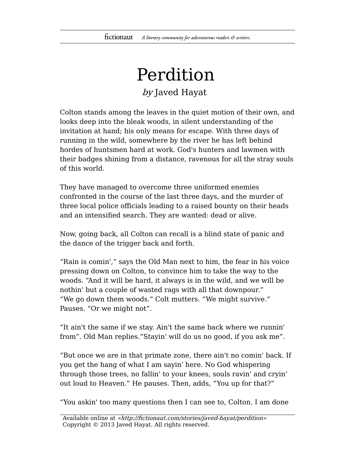## Perdition by Javed Hayat

Colton stands among the leaves in the quiet motion of their own, and looks deep into the bleak woods, in silent understanding of the invitation at hand; his only means for escape. With three days of running in the wild, somewhere by the river he has left behind hordes of huntsmen hard at work. God's hunters and lawmen with their badges shining from a distance, ravenous for all the stray souls of this world.

They have managed to overcome three uniformed enemies confronted in the course of the last three days, and the murder of three local police officials leading to a raised bounty on their heads and an intensified search. They are wanted: dead or alive.

Now, going back, all Colton can recall is a blind state of panic and the dance of the trigger back and forth.

"Rain is comin'," says the Old Man next to him, the fear in his voice pressing down on Colton, to convince him to take the way to the woods. "And it will be hard, it always is in the wild, and we will be nothin' but a couple of wasted rags with all that downpour." "We go down them woods." Colt mutters. "We might survive." Pauses. "Or we might not".

"It ain't the same if we stay. Ain't the same back where we runnin' from". Old Man replies."Stayin' will do us no good, if you ask me".

"But once we are in that primate zone, there ain't no comin' back. If you get the hang of what I am sayin' here. No God whispering through those trees, no fallin' to your knees, souls ravin' and cryin' out loud to Heaven." He pauses. Then, adds, "You up for that?"

"You askin' too many questions then I can see to, Colton. I am done

Available online at «http://fictionaut.com/stories/javed-hayat/perdition» Copyright © 2013 Javed Hayat. All rights reserved.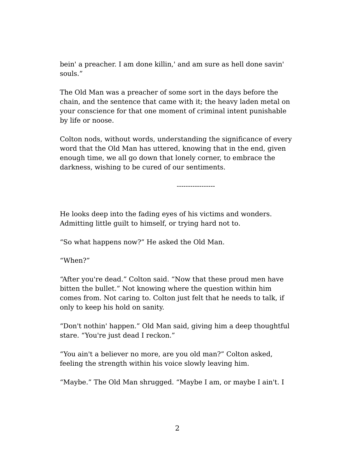bein' a preacher. I am done killin,' and am sure as hell done savin' souls."

The Old Man was a preacher of some sort in the days before the chain, and the sentence that came with it; the heavy laden metal on your conscience for that one moment of criminal intent punishable by life or noose.

Colton nods, without words, understanding the significance of every word that the Old Man has uttered, knowing that in the end, given enough time, we all go down that lonely corner, to embrace the darkness, wishing to be cured of our sentiments.

-----------------

He looks deep into the fading eyes of his victims and wonders. Admitting little guilt to himself, or trying hard not to.

"So what happens now?" He asked the Old Man.

"When?"

"After you're dead." Colton said. "Now that these proud men have bitten the bullet." Not knowing where the question within him comes from. Not caring to. Colton just felt that he needs to talk, if only to keep his hold on sanity.

"Don't nothin' happen." Old Man said, giving him a deep thoughtful stare. "You're just dead I reckon."

"You ain't a believer no more, are you old man?" Colton asked, feeling the strength within his voice slowly leaving him.

"Maybe." The Old Man shrugged. "Maybe I am, or maybe I ain't. I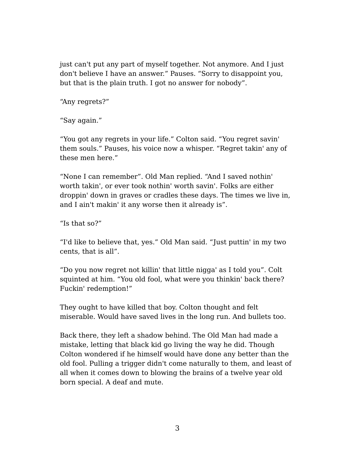just can't put any part of myself together. Not anymore. And I just don't believe I have an answer." Pauses. "Sorry to disappoint you, but that is the plain truth. I got no answer for nobody".

"Any regrets?"

"Say again."

"You got any regrets in your life." Colton said. "You regret savin' them souls." Pauses, his voice now a whisper. "Regret takin' any of these men here."

"None I can remember". Old Man replied. "And I saved nothin' worth takin', or ever took nothin' worth savin'. Folks are either droppin' down in graves or cradles these days. The times we live in, and I ain't makin' it any worse then it already is".

"Is that so?"

"I'd like to believe that, yes." Old Man said. "Just puttin' in my two cents, that is all".

"Do you now regret not killin' that little nigga' as I told you". Colt squinted at him. "You old fool, what were you thinkin' back there? Fuckin' redemption!"

They ought to have killed that boy. Colton thought and felt miserable. Would have saved lives in the long run. And bullets too.

Back there, they left a shadow behind. The Old Man had made a mistake, letting that black kid go living the way he did. Though Colton wondered if he himself would have done any better than the old fool. Pulling a trigger didn't come naturally to them, and least of all when it comes down to blowing the brains of a twelve year old born special. A deaf and mute.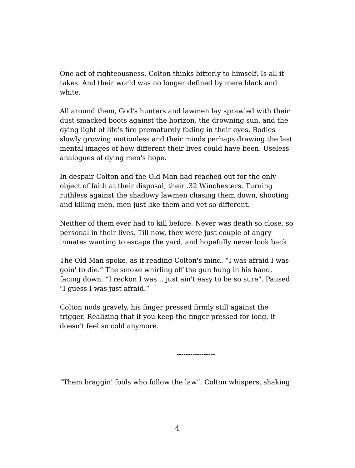One act of righteousness. Colton thinks bitterly to himself. Is all it takes. And their world was no longer defined by mere black and white.

All around them, God's hunters and lawmen lay sprawled with their dust smacked boots against the horizon, the drowning sun, and the dying light of life's fire prematurely fading in their eyes. Bodies slowly growing motionless and their minds perhaps drawing the last mental images of how different their lives could have been. Useless analogues of dying men's hope.

In despair Colton and the Old Man had reached out for the only object of faith at their disposal, their .32 Winchesters. Turning ruthless against the shadowy lawmen chasing them down, shooting and killing men, men just like them and yet so different.

Neither of them ever had to kill before. Never was death so close, so personal in their lives. Till now, they were just couple of angry inmates wanting to escape the yard, and hopefully never look back.

The Old Man spoke, as if reading Colton's mind. "I was afraid I was goin' to die." The smoke whirling off the gun hung in his hand, facing down. "I reckon I was… just ain't easy to be so sure". Paused. "I guess I was just afraid."

Colton nods gravely, his finger pressed firmly still against the trigger. Realizing that if you keep the finger pressed for long, it doesn't feel so cold anymore.

-----------------

"Them braggin' fools who follow the law". Colton whispers, shaking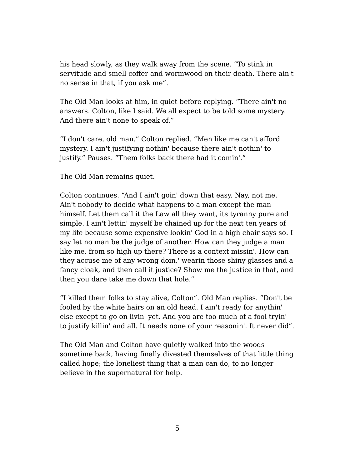his head slowly, as they walk away from the scene. "To stink in servitude and smell coffer and wormwood on their death. There ain't no sense in that, if you ask me".

The Old Man looks at him, in quiet before replying. "There ain't no answers. Colton, like I said. We all expect to be told some mystery. And there ain't none to speak of."

"I don't care, old man." Colton replied. "Men like me can't afford mystery. I ain't justifying nothin' because there ain't nothin' to justify." Pauses. "Them folks back there had it comin'."

The Old Man remains quiet.

Colton continues. "And I ain't goin' down that easy. Nay, not me. Ain't nobody to decide what happens to a man except the man himself. Let them call it the Law all they want, its tyranny pure and simple. I ain't lettin' myself be chained up for the next ten years of my life because some expensive lookin' God in a high chair says so. I say let no man be the judge of another. How can they judge a man like me, from so high up there? There is a context missin'. How can they accuse me of any wrong doin,' wearin those shiny glasses and a fancy cloak, and then call it justice? Show me the justice in that, and then you dare take me down that hole."

"I killed them folks to stay alive, Colton". Old Man replies. "Don't be fooled by the white hairs on an old head. I ain't ready for anythin' else except to go on livin' yet. And you are too much of a fool tryin' to justify killin' and all. It needs none of your reasonin'. It never did".

The Old Man and Colton have quietly walked into the woods sometime back, having finally divested themselves of that little thing called hope; the loneliest thing that a man can do, to no longer believe in the supernatural for help.